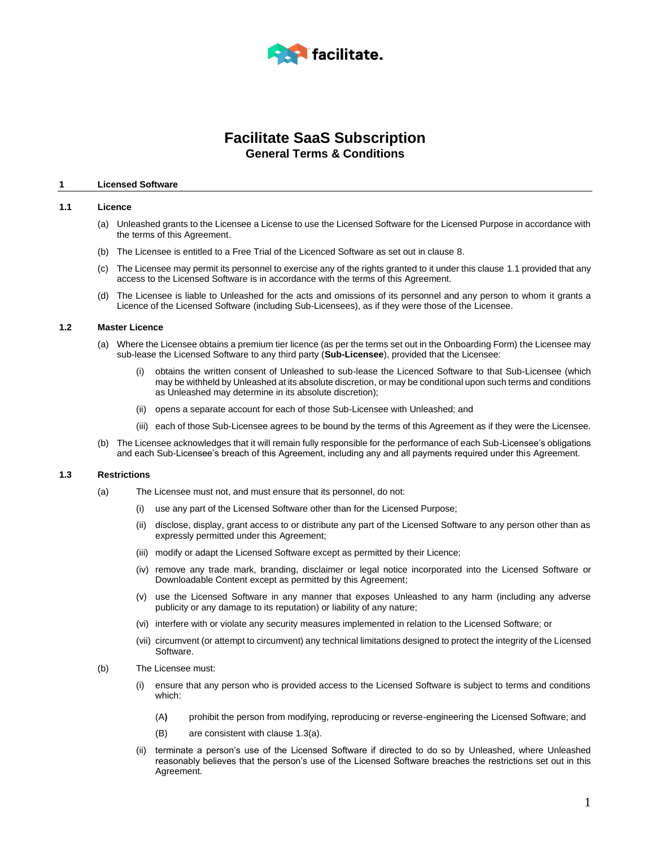

# **Facilitate SaaS Subscription General Terms & Conditions**

#### **1 Licensed Software**

#### <span id="page-0-0"></span>**1.1 Licence**

- (a) Unleashed grants to the Licensee a License to use the Licensed Software for the Licensed Purpose in accordance with the terms of this Agreement.
- (b) The Licensee is entitled to a Free Trial of the Licenced Software as set out in clause [8.](#page-4-0)
- (c) The Licensee may permit its personnel to exercise any of the rights granted to it under this clause [1.1](#page-0-0) provided that any access to the Licensed Software is in accordance with the terms of this Agreement.
- (d) The Licensee is liable to Unleashed for the acts and omissions of its personnel and any person to whom it grants a Licence of the Licensed Software (including Sub-Licensees), as if they were those of the Licensee.

# <span id="page-0-2"></span>**1.2 Master Licence**

- (a) Where the Licensee obtains a premium tier licence (as per the terms set out in the Onboarding Form) the Licensee may sub-lease the Licensed Software to any third party (**Sub-Licensee**), provided that the Licensee:
	- obtains the written consent of Unleashed to sub-lease the Licenced Software to that Sub-Licensee (which may be withheld by Unleashed at its absolute discretion, or may be conditional upon such terms and conditions as Unleashed may determine in its absolute discretion);
	- (ii) opens a separate account for each of those Sub-Licensee with Unleashed; and
	- (iii) each of those Sub-Licensee agrees to be bound by the terms of this Agreement as if they were the Licensee.
- (b) The Licensee acknowledges that it will remain fully responsible for the performance of each Sub-Licensee's obligations and each Sub-Licensee's breach of this Agreement, including any and all payments required under this Agreement.

# <span id="page-0-1"></span>**1.3 Restrictions**

- (a) The Licensee must not, and must ensure that its personnel, do not:
	- (i) use any part of the Licensed Software other than for the Licensed Purpose;
	- (ii) disclose, display, grant access to or distribute any part of the Licensed Software to any person other than as expressly permitted under this Agreement;
	- (iii) modify or adapt the Licensed Software except as permitted by their Licence;
	- (iv) remove any trade mark, branding, disclaimer or legal notice incorporated into the Licensed Software or Downloadable Content except as permitted by this Agreement;
	- (v) use the Licensed Software in any manner that exposes Unleashed to any harm (including any adverse publicity or any damage to its reputation) or liability of any nature;
	- (vi) interfere with or violate any security measures implemented in relation to the Licensed Software; or
	- (vii) circumvent (or attempt to circumvent) any technical limitations designed to protect the integrity of the Licensed Software.
- (b) The Licensee must:
	- (i) ensure that any person who is provided access to the Licensed Software is subject to terms and conditions which:
		- (A**)** prohibit the person from modifying, reproducing or reverse-engineering the Licensed Software; and
		- (B) are consistent with claus[e 1.3\(a\).](#page-0-1)
	- (ii) terminate a person's use of the Licensed Software if directed to do so by Unleashed, where Unleashed reasonably believes that the person's use of the Licensed Software breaches the restrictions set out in this Agreement.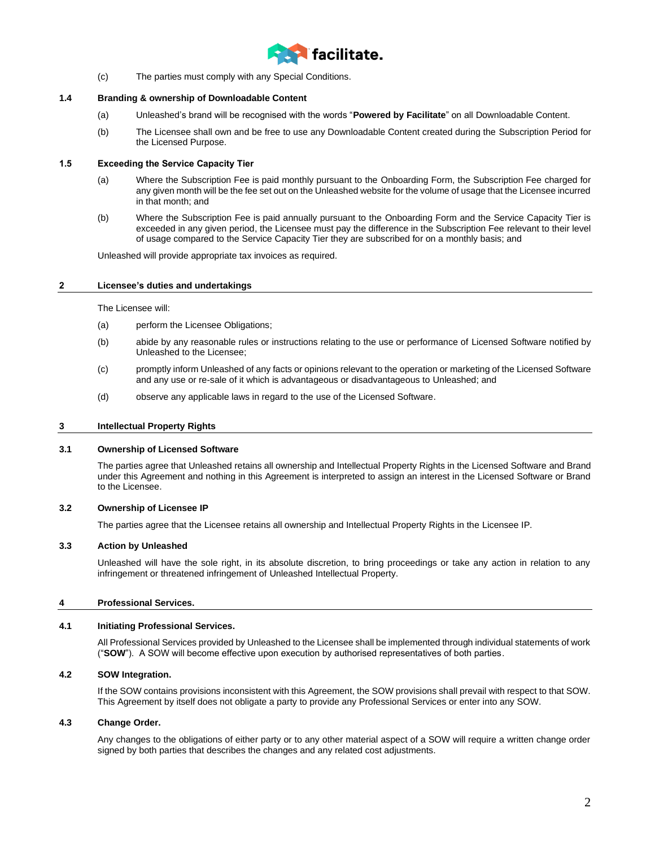

(c) The parties must comply with any Special Conditions.

# <span id="page-1-0"></span>**1.4 Branding & ownership of Downloadable Content**

- (a) Unleashed's brand will be recognised with the words "**Powered by Facilitate**" on all Downloadable Content.
- (b) The Licensee shall own and be free to use any Downloadable Content created during the Subscription Period for the Licensed Purpose.

# **1.5 Exceeding the Service Capacity Tier**

- (a) Where the Subscription Fee is paid monthly pursuant to the Onboarding Form, the Subscription Fee charged for any given month will be the fee set out on the Unleashed website for the volume of usage that the Licensee incurred in that month; and
- (b) Where the Subscription Fee is paid annually pursuant to the Onboarding Form and the Service Capacity Tier is exceeded in any given period, the Licensee must pay the difference in the Subscription Fee relevant to their level of usage compared to the Service Capacity Tier they are subscribed for on a monthly basis; and

Unleashed will provide appropriate tax invoices as required.

# **2 Licensee's duties and undertakings**

The Licensee will:

- (a) perform the Licensee Obligations;
- (b) abide by any reasonable rules or instructions relating to the use or performance of Licensed Software notified by Unleashed to the Licensee;
- (c) promptly inform Unleashed of any facts or opinions relevant to the operation or marketing of the Licensed Software and any use or re-sale of it which is advantageous or disadvantageous to Unleashed; and
- (d) observe any applicable laws in regard to the use of the Licensed Software.

# **3 Intellectual Property Rights**

# **3.1 Ownership of Licensed Software**

The parties agree that Unleashed retains all ownership and Intellectual Property Rights in the Licensed Software and Brand under this Agreement and nothing in this Agreement is interpreted to assign an interest in the Licensed Software or Brand to the Licensee.

# **3.2 Ownership of Licensee IP**

The parties agree that the Licensee retains all ownership and Intellectual Property Rights in the Licensee IP.

# **3.3 Action by Unleashed**

Unleashed will have the sole right, in its absolute discretion, to bring proceedings or take any action in relation to any infringement or threatened infringement of Unleashed Intellectual Property.

# **4 Professional Services.**

# **4.1 Initiating Professional Services.**

All Professional Services provided by Unleashed to the Licensee shall be implemented through individual statements of work ("**SOW**"). A SOW will become effective upon execution by authorised representatives of both parties.

# **4.2 SOW Integration.**

If the SOW contains provisions inconsistent with this Agreement, the SOW provisions shall prevail with respect to that SOW. This Agreement by itself does not obligate a party to provide any Professional Services or enter into any SOW.

# **4.3 Change Order.**

Any changes to the obligations of either party or to any other material aspect of a SOW will require a written change order signed by both parties that describes the changes and any related cost adjustments.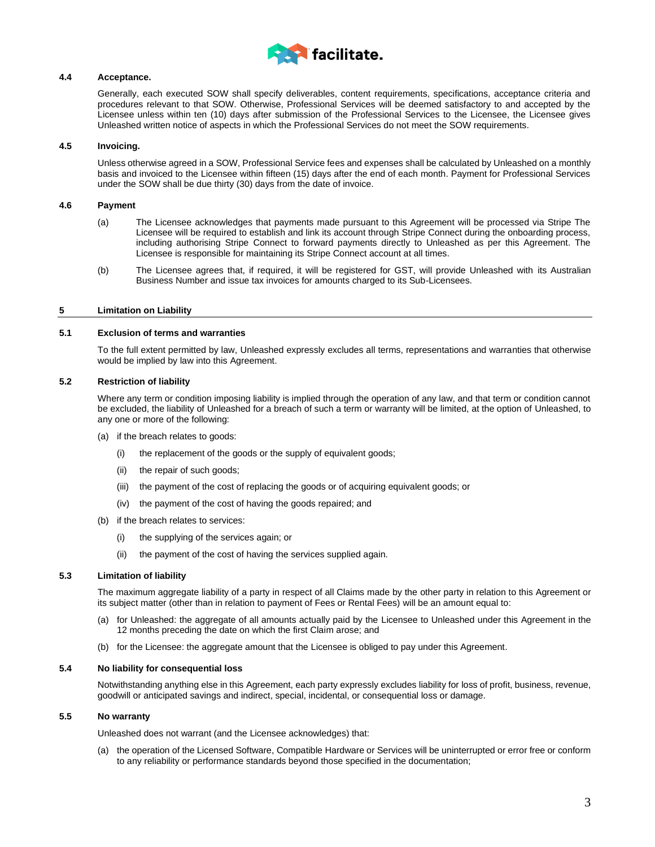

# **4.4 Acceptance.**

Generally, each executed SOW shall specify deliverables, content requirements, specifications, acceptance criteria and procedures relevant to that SOW. Otherwise, Professional Services will be deemed satisfactory to and accepted by the Licensee unless within ten (10) days after submission of the Professional Services to the Licensee, the Licensee gives Unleashed written notice of aspects in which the Professional Services do not meet the SOW requirements.

# **4.5 Invoicing.**

Unless otherwise agreed in a SOW, Professional Service fees and expenses shall be calculated by Unleashed on a monthly basis and invoiced to the Licensee within fifteen (15) days after the end of each month. Payment for Professional Services under the SOW shall be due thirty (30) days from the date of invoice.

# **4.6 Payment**

- (a) The Licensee acknowledges that payments made pursuant to this Agreement will be processed via Stripe The Licensee will be required to establish and link its account through Stripe Connect during the onboarding process, including authorising Stripe Connect to forward payments directly to Unleashed as per this Agreement. The Licensee is responsible for maintaining its Stripe Connect account at all times.
- (b) The Licensee agrees that, if required, it will be registered for GST, will provide Unleashed with its Australian Business Number and issue tax invoices for amounts charged to its Sub-Licensees.

# **5 Limitation on Liability**

# **5.1 Exclusion of terms and warranties**

To the full extent permitted by law, Unleashed expressly excludes all terms, representations and warranties that otherwise would be implied by law into this Agreement.

# **5.2 Restriction of liability**

Where any term or condition imposing liability is implied through the operation of any law, and that term or condition cannot be excluded, the liability of Unleashed for a breach of such a term or warranty will be limited, at the option of Unleashed, to any one or more of the following:

- (a) if the breach relates to goods:
	- (i) the replacement of the goods or the supply of equivalent goods;
	- (ii) the repair of such goods;
	- (iii) the payment of the cost of replacing the goods or of acquiring equivalent goods; or
	- (iv) the payment of the cost of having the goods repaired; and
- (b) if the breach relates to services:
	- (i) the supplying of the services again; or
	- (ii) the payment of the cost of having the services supplied again.

# **5.3 Limitation of liability**

The maximum aggregate liability of a party in respect of all Claims made by the other party in relation to this Agreement or its subject matter (other than in relation to payment of Fees or Rental Fees) will be an amount equal to:

- (a) for Unleashed: the aggregate of all amounts actually paid by the Licensee to Unleashed under this Agreement in the 12 months preceding the date on which the first Claim arose; and
- (b) for the Licensee: the aggregate amount that the Licensee is obliged to pay under this Agreement.

# **5.4 No liability for consequential loss**

Notwithstanding anything else in this Agreement, each party expressly excludes liability for loss of profit, business, revenue, goodwill or anticipated savings and indirect, special, incidental, or consequential loss or damage.

# **5.5 No warranty**

Unleashed does not warrant (and the Licensee acknowledges) that:

(a) the operation of the Licensed Software, Compatible Hardware or Services will be uninterrupted or error free or conform to any reliability or performance standards beyond those specified in the documentation;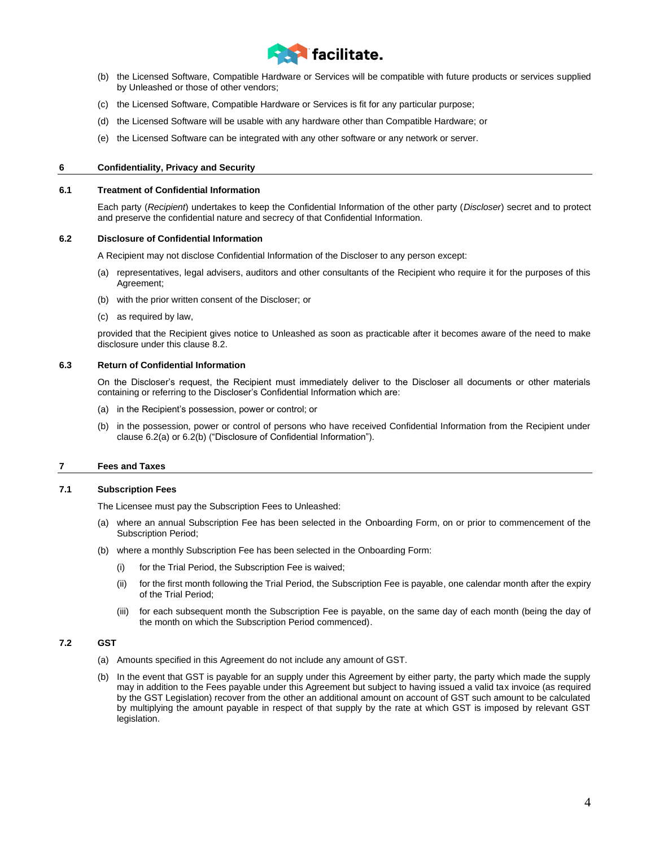

- (b) the Licensed Software, Compatible Hardware or Services will be compatible with future products or services supplied by Unleashed or those of other vendors;
- (c) the Licensed Software, Compatible Hardware or Services is fit for any particular purpose;
- (d) the Licensed Software will be usable with any hardware other than Compatible Hardware; or
- (e) the Licensed Software can be integrated with any other software or any network or server.

### **6 Confidentiality, Privacy and Security**

#### **6.1 Treatment of Confidential Information**

Each party (*Recipient*) undertakes to keep the Confidential Information of the other party (*Discloser*) secret and to protect and preserve the confidential nature and secrecy of that Confidential Information.

#### <span id="page-3-0"></span>**6.2 Disclosure of Confidential Information**

A Recipient may not disclose Confidential Information of the Discloser to any person except:

- (a) representatives, legal advisers, auditors and other consultants of the Recipient who require it for the purposes of this Agreement;
- <span id="page-3-1"></span>(b) with the prior written consent of the Discloser; or
- (c) as required by law,

provided that the Recipient gives notice to Unleashed as soon as practicable after it becomes aware of the need to make disclosure under this clause 8.2.

#### **6.3 Return of Confidential Information**

On the Discloser's request, the Recipient must immediately deliver to the Discloser all documents or other materials containing or referring to the Discloser's Confidential Information which are:

- (a) in the Recipient's possession, power or control; or
- (b) in the possession, power or control of persons who have received Confidential Information from the Recipient under clause [6.2\(a\)](#page-3-0) o[r 6.2\(b\)](#page-3-1) ("Disclosure of Confidential Information").

# **7 Fees and Taxes**

### <span id="page-3-2"></span>**7.1 Subscription Fees**

The Licensee must pay the Subscription Fees to Unleashed:

- (a) where an annual Subscription Fee has been selected in the Onboarding Form, on or prior to commencement of the Subscription Period;
- (b) where a monthly Subscription Fee has been selected in the Onboarding Form:
	- (i) for the Trial Period, the Subscription Fee is waived;
	- (ii) for the first month following the Trial Period, the Subscription Fee is payable, one calendar month after the expiry of the Trial Period;
	- (iii) for each subsequent month the Subscription Fee is payable, on the same day of each month (being the day of the month on which the Subscription Period commenced).

# **7.2 GST**

- (a) Amounts specified in this Agreement do not include any amount of GST.
- (b) In the event that GST is payable for an supply under this Agreement by either party, the party which made the supply may in addition to the Fees payable under this Agreement but subject to having issued a valid tax invoice (as required by the GST Legislation) recover from the other an additional amount on account of GST such amount to be calculated by multiplying the amount payable in respect of that supply by the rate at which GST is imposed by relevant GST legislation.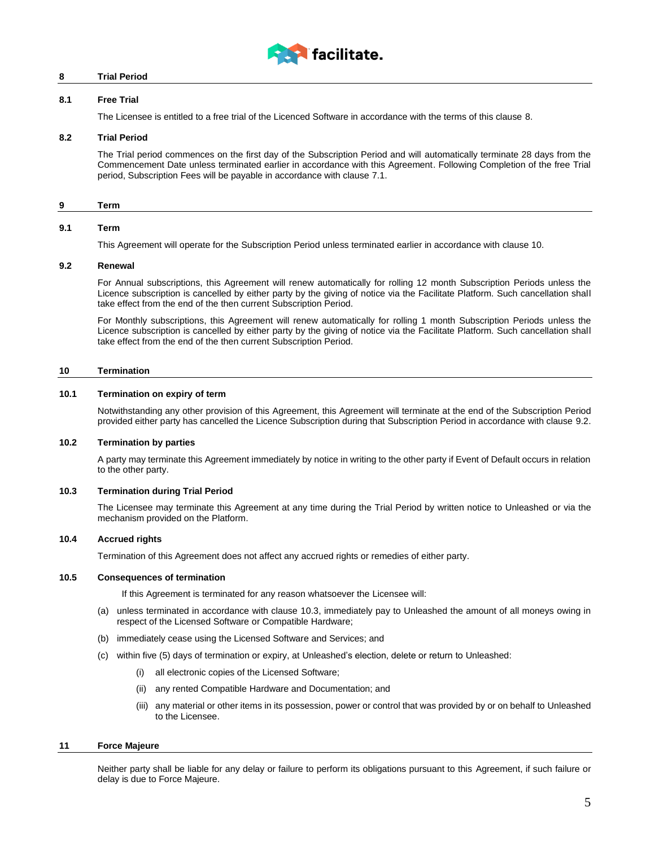

# <span id="page-4-0"></span>**8 Trial Period**

# **8.1 Free Trial**

The Licensee is entitled to a free trial of the Licenced Software in accordance with the terms of this clause [8.](#page-4-0)

### <span id="page-4-4"></span>**8.2 Trial Period**

The Trial period commences on the first day of the Subscription Period and will automatically terminate 28 days from the Commencement Date unless terminated earlier in accordance with this Agreement. Following Completion of the free Trial period, Subscription Fees will be payable in accordance with clause [7.1.](#page-3-2)

### **9 Term**

#### **9.1 Term**

This Agreement will operate for the Subscription Period unless terminated earlier in accordance with claus[e 10.](#page-4-1)

### <span id="page-4-2"></span>**9.2 Renewal**

For Annual subscriptions, this Agreement will renew automatically for rolling 12 month Subscription Periods unless the Licence subscription is cancelled by either party by the giving of notice via the Facilitate Platform. Such cancellation shall take effect from the end of the then current Subscription Period.

For Monthly subscriptions, this Agreement will renew automatically for rolling 1 month Subscription Periods unless the Licence subscription is cancelled by either party by the giving of notice via the Facilitate Platform. Such cancellation shall take effect from the end of the then current Subscription Period.

### <span id="page-4-1"></span>**10 Termination**

#### **10.1 Termination on expiry of term**

Notwithstanding any other provision of this Agreement, this Agreement will terminate at the end of the Subscription Period provided either party has cancelled the Licence Subscription during that Subscription Period in accordance with clause [9.2.](#page-4-2)

#### **10.2 Termination by parties**

A party may terminate this Agreement immediately by notice in writing to the other party if Event of Default occurs in relation to the other party.

# <span id="page-4-3"></span>**10.3 Termination during Trial Period**

The Licensee may terminate this Agreement at any time during the Trial Period by written notice to Unleashed or via the mechanism provided on the Platform.

# **10.4 Accrued rights**

Termination of this Agreement does not affect any accrued rights or remedies of either party.

#### **10.5 Consequences of termination**

If this Agreement is terminated for any reason whatsoever the Licensee will:

- (a) unless terminated in accordance with clause [10.3,](#page-4-3) immediately pay to Unleashed the amount of all moneys owing in respect of the Licensed Software or Compatible Hardware;
- (b) immediately cease using the Licensed Software and Services; and
- (c) within five (5) days of termination or expiry, at Unleashed's election, delete or return to Unleashed:
	- (i) all electronic copies of the Licensed Software;
	- (ii) any rented Compatible Hardware and Documentation; and
	- (iii) any material or other items in its possession, power or control that was provided by or on behalf to Unleashed to the Licensee.

#### **11 Force Majeure**

Neither party shall be liable for any delay or failure to perform its obligations pursuant to this Agreement, if such failure or delay is due to Force Majeure.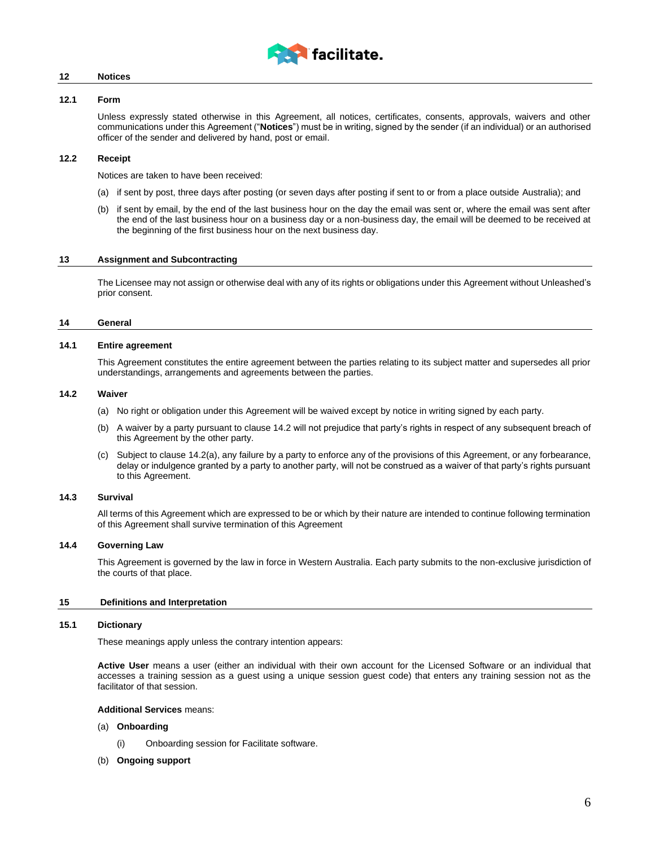

# **12 Notices**

# **12.1 Form**

Unless expressly stated otherwise in this Agreement, all notices, certificates, consents, approvals, waivers and other communications under this Agreement ("**Notices**") must be in writing, signed by the sender (if an individual) or an authorised officer of the sender and delivered by hand, post or email.

# **12.2 Receipt**

Notices are taken to have been received:

- (a) if sent by post, three days after posting (or seven days after posting if sent to or from a place outside Australia); and
- (b) if sent by email, by the end of the last business hour on the day the email was sent or, where the email was sent after the end of the last business hour on a business day or a non-business day, the email will be deemed to be received at the beginning of the first business hour on the next business day.

# **13 Assignment and Subcontracting**

The Licensee may not assign or otherwise deal with any of its rights or obligations under this Agreement without Unleashed's prior consent.

#### **14 General**

#### **14.1 Entire agreement**

This Agreement constitutes the entire agreement between the parties relating to its subject matter and supersedes all prior understandings, arrangements and agreements between the parties.

#### <span id="page-5-1"></span><span id="page-5-0"></span>**14.2 Waiver**

- (a) No right or obligation under this Agreement will be waived except by notice in writing signed by each party.
- (b) A waiver by a party pursuant to claus[e 14.2](#page-5-0) will not prejudice that party's rights in respect of any subsequent breach of this Agreement by the other party.
- (c) Subject to clause [14.2\(a\),](#page-5-1) any failure by a party to enforce any of the provisions of this Agreement, or any forbearance, delay or indulgence granted by a party to another party, will not be construed as a waiver of that party's rights pursuant to this Agreement.

# **14.3 Survival**

All terms of this Agreement which are expressed to be or which by their nature are intended to continue following termination of this Agreement shall survive termination of this Agreement

# **14.4 Governing Law**

This Agreement is governed by the law in force in Western Australia. Each party submits to the non-exclusive jurisdiction of the courts of that place.

#### **15 Definitions and Interpretation**

# **15.1 Dictionary**

These meanings apply unless the contrary intention appears:

**Active User** means a user (either an individual with their own account for the Licensed Software or an individual that accesses a training session as a guest using a unique session guest code) that enters any training session not as the facilitator of that session.

# **Additional Services** means:

- (a) **Onboarding**
	- (i) Onboarding session for Facilitate software.
- (b) **Ongoing support**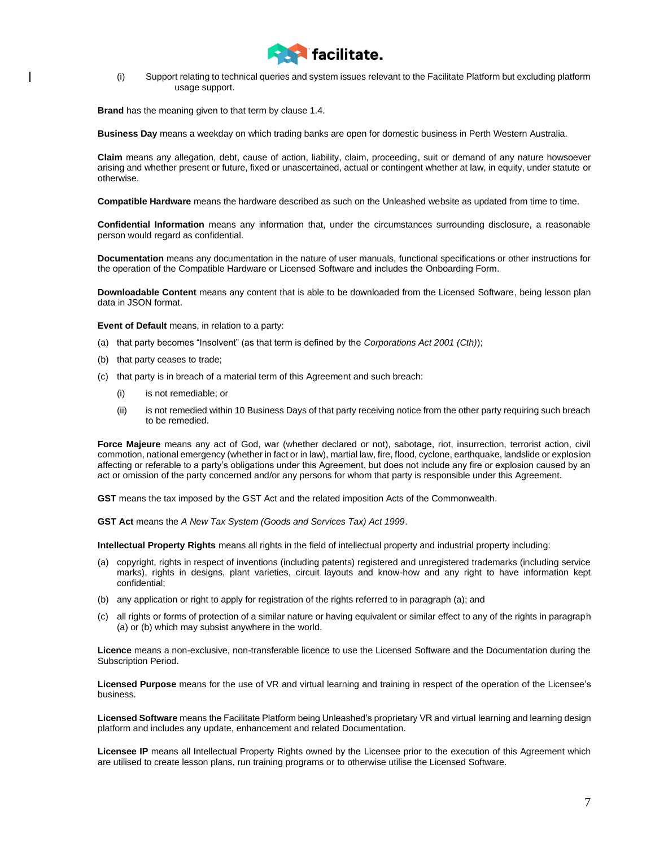

(i) Support relating to technical queries and system issues relevant to the Facilitate Platform but excluding platform usage support.

**Brand** has the meaning given to that term by claus[e 1.4.](#page-1-0)

**Business Day** means a weekday on which trading banks are open for domestic business in Perth Western Australia.

**Claim** means any allegation, debt, cause of action, liability, claim, proceeding, suit or demand of any nature howsoever arising and whether present or future, fixed or unascertained, actual or contingent whether at law, in equity, under statute or otherwise.

**Compatible Hardware** means the hardware described as such on the Unleashed website as updated from time to time.

**Confidential Information** means any information that, under the circumstances surrounding disclosure, a reasonable person would regard as confidential.

**Documentation** means any documentation in the nature of user manuals, functional specifications or other instructions for the operation of the Compatible Hardware or Licensed Software and includes the Onboarding Form.

**Downloadable Content** means any content that is able to be downloaded from the Licensed Software, being lesson plan data in JSON format.

**Event of Default** means, in relation to a party:

- (a) that party becomes "Insolvent" (as that term is defined by the *Corporations Act 2001 (Cth)*);
- (b) that party ceases to trade;
- (c) that party is in breach of a material term of this Agreement and such breach:
	- (i) is not remediable; or
	- (ii) is not remedied within 10 Business Days of that party receiving notice from the other party requiring such breach to be remedied.

**Force Majeure** means any act of God, war (whether declared or not), sabotage, riot, insurrection, terrorist action, civil commotion, national emergency (whether in fact or in law), martial law, fire, flood, cyclone, earthquake, landslide or explosion affecting or referable to a party's obligations under this Agreement, but does not include any fire or explosion caused by an act or omission of the party concerned and/or any persons for whom that party is responsible under this Agreement.

**GST** means the tax imposed by the GST Act and the related imposition Acts of the Commonwealth.

**GST Act** means the *A New Tax System (Goods and Services Tax) Act 1999*.

**Intellectual Property Rights** means all rights in the field of intellectual property and industrial property including:

- (a) copyright, rights in respect of inventions (including patents) registered and unregistered trademarks (including service marks), rights in designs, plant varieties, circuit layouts and know-how and any right to have information kept confidential;
- (b) any application or right to apply for registration of the rights referred to in paragraph (a); and
- (c) all rights or forms of protection of a similar nature or having equivalent or similar effect to any of the rights in paragraph (a) or (b) which may subsist anywhere in the world.

**Licence** means a non-exclusive, non-transferable licence to use the Licensed Software and the Documentation during the Subscription Period.

**Licensed Purpose** means for the use of VR and virtual learning and training in respect of the operation of the Licensee's business.

**Licensed Software** means the Facilitate Platform being Unleashed's proprietary VR and virtual learning and learning design platform and includes any update, enhancement and related Documentation.

**Licensee IP** means all Intellectual Property Rights owned by the Licensee prior to the execution of this Agreement which are utilised to create lesson plans, run training programs or to otherwise utilise the Licensed Software.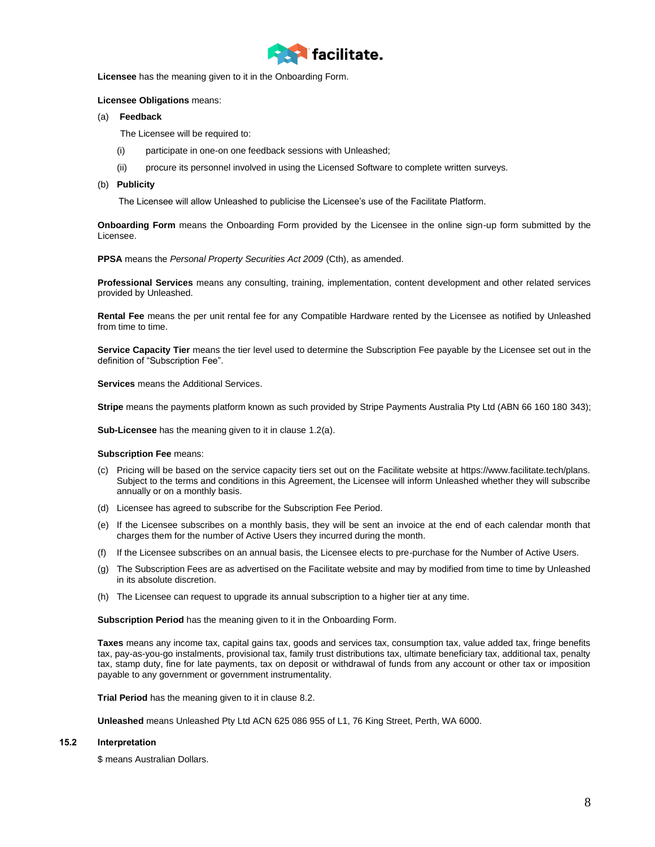

**Licensee** has the meaning given to it in the Onboarding Form.

# **Licensee Obligations** means:

(a) **Feedback**

The Licensee will be required to:

- (i) participate in one-on one feedback sessions with Unleashed;
- (ii) procure its personnel involved in using the Licensed Software to complete written surveys.

#### (b) **Publicity**

The Licensee will allow Unleashed to publicise the Licensee's use of the Facilitate Platform.

**Onboarding Form** means the Onboarding Form provided by the Licensee in the online sign-up form submitted by the Licensee.

**PPSA** means the *Personal Property Securities Act 2009* (Cth), as amended.

**Professional Services** means any consulting, training, implementation, content development and other related services provided by Unleashed.

**Rental Fee** means the per unit rental fee for any Compatible Hardware rented by the Licensee as notified by Unleashed from time to time.

**Service Capacity Tier** means the tier level used to determine the Subscription Fee payable by the Licensee set out in the definition of "Subscription Fee".

**Services** means the Additional Services.

**Stripe** means the payments platform known as such provided by Stripe Payments Australia Pty Ltd (ABN 66 160 180 343);

**Sub-Licensee** has the meaning given to it in clause [1.2\(a\).](#page-0-2)

#### **Subscription Fee** means:

- (c) Pricing will be based on the service capacity tiers set out on the Facilitate website at https://www.facilitate.tech/plans. Subject to the terms and conditions in this Agreement, the Licensee will inform Unleashed whether they will subscribe annually or on a monthly basis.
- (d) Licensee has agreed to subscribe for the Subscription Fee Period.
- (e) If the Licensee subscribes on a monthly basis, they will be sent an invoice at the end of each calendar month that charges them for the number of Active Users they incurred during the month.
- (f) If the Licensee subscribes on an annual basis, the Licensee elects to pre-purchase for the Number of Active Users.
- (g) The Subscription Fees are as advertised on the Facilitate website and may by modified from time to time by Unleashed in its absolute discretion.
- (h) The Licensee can request to upgrade its annual subscription to a higher tier at any time.

**Subscription Period** has the meaning given to it in the Onboarding Form.

**Taxes** means any income tax, capital gains tax, goods and services tax, consumption tax, value added tax, fringe benefits tax, pay-as-you-go instalments, provisional tax, family trust distributions tax, ultimate beneficiary tax, additional tax, penalty tax, stamp duty, fine for late payments, tax on deposit or withdrawal of funds from any account or other tax or imposition payable to any government or government instrumentality.

**Trial Period** has the meaning given to it in clause [8.2.](#page-4-4)

**Unleashed** means Unleashed Pty Ltd ACN 625 086 955 of L1, 76 King Street, Perth, WA 6000.

# **15.2 Interpretation**

\$ means Australian Dollars.